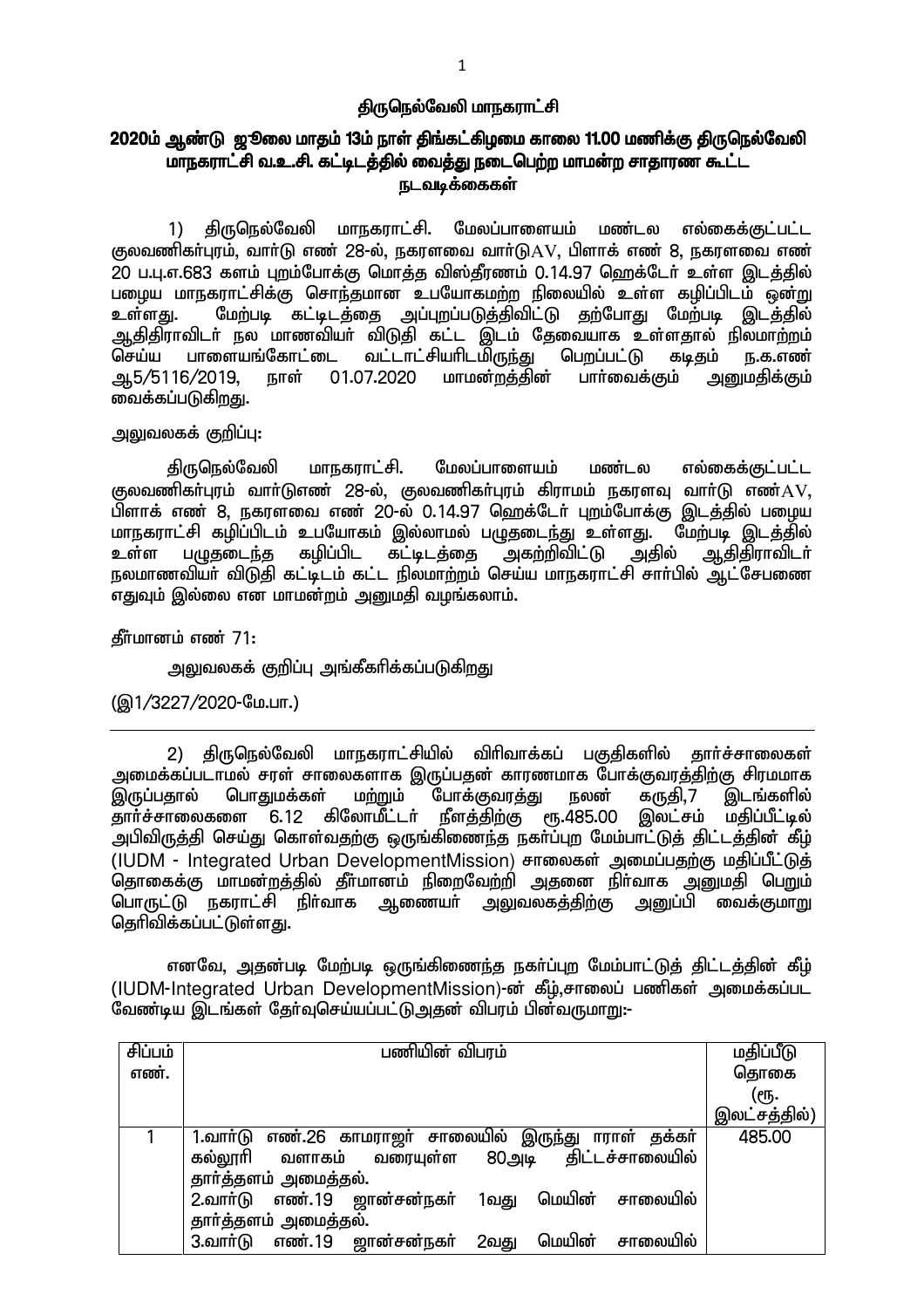#### <u>திருநெ</u>ல்வேலி மாநகராட்சி

# 2020ம் ஆண்டு ஜூலை மாதம் 13ம் நாள் திங்கட்கிழமை காலை 11.00 மணிக்கு திருநெல்வேலி மாநகராட்சி வ.உ.சி. கட்டிடத்தில் வைத்து நடைபெற்ற மாமன்ற சாதாரண கூட்ட ௩டவடீக்கைகள்

1) திருநெல்வேலி மாநகராட்சி. மேலப்பாளையம் மண்டல எல்கைக்குட்பட்ட குலவணிகர்புரம், வார்டு எண் 28-ல், நகரளவை வார்டு $\rm{AV}$ , பிளாக் எண் 8, நகரளவை எண் 20 ப.பு.எ.683 களம் புறம்போக்கு மொத்த விஸ்தீரணம் 0.14.97 ஹெக்டேர் உள்ள இடத்தில் பழைய மாநகராட்சிக்கு சொந்தமான உபயோகமற்ற நிலையில் உள்ள கழிப்பிடம் ஒன்று உள்ளது. மேற்படி கட்டிடத்தை அப்புறப்படுத்திவிட்டு தற்போது மேற்படி இடத்தில் ஆதிதிராவிடா் நல மாணவியா் விடுதி கட்ட இடம் தேவையாக உள்ளதால் நிலமாற்றம்<br>செய்ய பாளையங்கோட்டை வட்டாட்சியாிடமிருந்து பெறப்பட்டு கடிதம் ந.க.எண் ட வட்டாட்சியாிடமிருந்து பெறப்பட்டு கடிதம் ந.க.எண்<br>\_01.07.2020 மாமன்றத்தின் பாா்வைக்கும் <u>அனு</u>மதிக்கும் ஆ5/5116/2019, நாள் 01.07.2020 மாமன்றத்தின் பார்வைக்கும் <u>அனு</u>மதிக்கும் வைக்கப்படுக<u>ிறத</u>ு.

அலுவலகக் குறிப்பு:

திருநெல்வேலி மாநகராட்சி. மேலப்பாளையம் மண்டல எல்கைக்குட்பட்ட குலவணிகர்புரம் வார்டுஎண் 28-ல், குலவணிகர்புரம் கிராமம் நகரளவு வார்டு எண் $\rm{AV}$ , பிளாக் எண் 8. நகரளவை எண் 20-ல் 0.14.97 ஹெக்டேர் புறம்போக்கு இடத்தில் பழைய மாநகராட்சி கழிப்பிடம் உபயோகம் இல்லாமல் பழுதடைந்து உள்ளது. <sup>"</sup>மேற்படி இடத்தில்<br>உள்ள பழுதடைந்த கழிப்பிட கட்டிடத்தை அகற்றிவிட்டு அகில் ஆகிகிராவிடர் கழிப்பிட கூட்டிடக்கை அகற்றிவிட்டு நலமாணவியர் விடுதி கட்டீடம் கட்ட நிலமாற்றம் செய்ய மாநகராட்சி சார்பில் அட்சேபணை எதுவும் இல்லை என மாமன்றம் அனுமதி வழங்கலாம்.

கீர்மானம் எண் $71:$ 

அலுவலகக் குறிப்பு அங்கீகரிக்கப்படுக<u>ிறது</u>

(இ1/3227/2020-மே.பா.)

2) திருநெல்வேலி மாநகராட்சியில் விரிவாக்கப் பகுதிகளில் தார்ச்சாலைகள் அமைக்கப்படாமல் சரள் சாலைகளாக இருப்பதன் காரணமாக போக்குவரத்திற்கு சிரமமாக<br>இருப்பதால் பொதுமக்கள் மற்றும் போக்குவரத்து நலன் கருதி,7 இடங்களில் போக்குவரத்து நலன் கருதி,7 இடங்களில்<br>நீளத்திற்கு ரூ.485.00 இலட்சம் மகிப்பீட்டில் தார்ச்சாலைகளை 6.12 கிலோமீட்டர் நீளத்திற்கு ரூ.485.00 <u>அபிவிருத்தி</u> செய்து கொள்வதற்கு ஒருங்கிணைந்த நகா்ப்புற மேம்பாட்டுத் திட்டத்தின் கீழ் (IUDM - Integrated Urban DevelopmentMission) சாலைகள் அமைப்பதற்கு மதிப்பீட்டுத் தொகைக்கு மாமன்றத்தில் தீர்மானம் நிறைவேற்றி அதனை நிர்வாக அனுமதி பெறும் <u>பொருட்டு ந</u>கராட்சி நிர்வாக ஆணையர் <u>அலு</u>வலகத்திற்கு அனுப்பி வைக்குமாறு தெரிவிக்கப்பட்டுள்ளது.

எனவே, அதன்படி மேற்படி ஒருங்கிணைந்த நகர்ப்புற மேம்பாட்டுத் திட்டத்தின் கீழ் (IUDM-Integrated Urban DevelopmentMission)-ன் கீழ்,சாலைப் பணிகள் அமைக்கப்பட வேண்டிய இடங்கள் தேர்வுசெய்யப்பட்டு அதன் விபரம் பின்வருமாறு:-

| சிப்பம் | பணியின் விபரம்                                            | மதிப்பீடு    |
|---------|-----------------------------------------------------------|--------------|
| எண்.    |                                                           | தொகை         |
|         |                                                           | (еҧ.         |
|         |                                                           | இலட்சத்தில்) |
|         | 1.வாா்டு எண்.26 காமராஜா் சாலையில் இருந்து ாராள் தக்கா்    | 485.00       |
|         | கல்லூரி வளாகம் வரையுள்ள 80அடி திட்டச்சாலையில்             |              |
|         | தார்த்தளம் அமைத்தல்.                                      |              |
|         | மெயின்<br>2.வார்டு எண்.19 ஜான்சன்நகர்<br>சாலையில்<br>1வது |              |
|         | தார்த்தளம் அமைத்தல்.                                      |              |
|         | மெயின்<br>3.வார்டு எண்.19 ஜான்சன்நகர்<br>சாலையில்<br>2வது |              |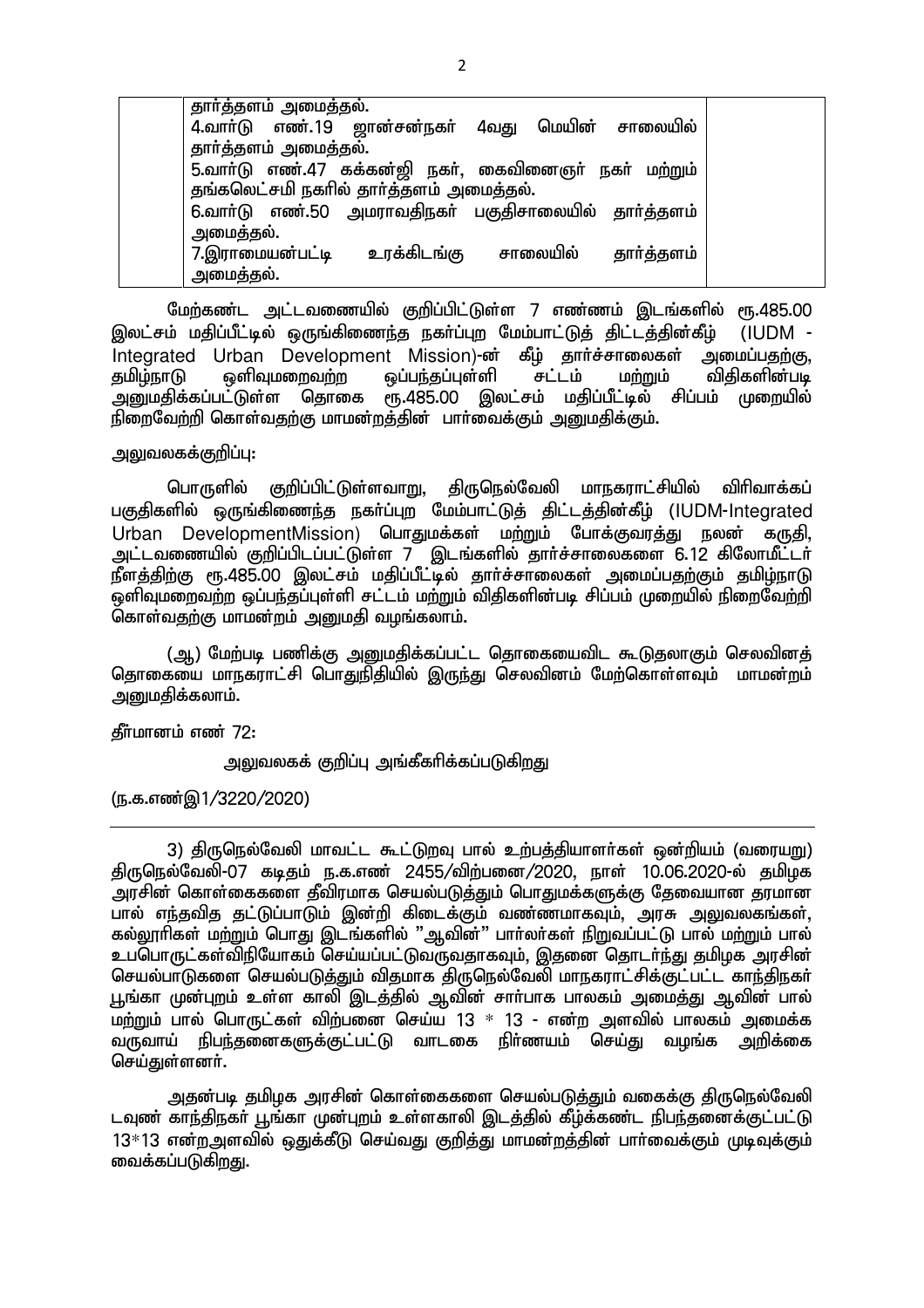| தாா்த்தளம் அமைத்தல்.                                  |             |             |            |  |
|-------------------------------------------------------|-------------|-------------|------------|--|
| 4.வாா்டு எண்.19 ஜான்சன்நகா்                           |             | 4வது மெயின் | சாலையில்   |  |
| தார்த்தளம் அமைத்தல்.                                  |             |             |            |  |
| 5.வாா்டு எண்.47 கக்கன்ஜி நகா், கைவினைஞா் நகா் மற்றும் |             |             |            |  |
| தங்கலெட்சமி நகரில் தார்த்தளம் அமைத்தல்.               |             |             |            |  |
| 6.வாா்டு எண்.50 அமராவதிநகா் பகுதிசாலையில் தாா்த்தளம்  |             |             |            |  |
| அமைத்தல்.                                             |             |             |            |  |
| 7.இராமையன்பட்டி                                       | உரக்கிடங்கு | சாலையில்    | தார்த்தளம் |  |
| அமைத்தல்.                                             |             |             |            |  |
|                                                       |             |             |            |  |

மேற்கண்ட அட்டவணையில் குறிப்பிட்டுள்ள 7 எண்ணம் இடங்களில் ரூ.485.00 இலட்சம் மதிப்பீட்டில் ஒருங்கிணைந்த நகர்ப்புற மேம்பாட்டுத் திட்டத்தின்கீழ் (IUDM -Integrated Urban Development Mission)-ன் கீழ் தார்ச்சாலைகள் அமைப்பதற்கு,<br>தமிழ்நாடு ஒளிவுமறைவற்ற ஒப்பந்தப்புள்ளி சட்டம் மற்றும் விதிகளின்படி தமிழ்நாடு ஒளிவுமறைவற்ற ஒப்பந்தப்புள்ளி சட்டம் மற்றும் .<br>அனுமதிக்கப்பட்டுள்ள தொகை ரூ.485.00 இலட்சம் மதிப்பீட்டில் சிப்பம் முறையில்  $\tilde{\mathbb{B}}$ றைவேற்றி கொள்வதற்கு மாமன்றத்தின் பார்வைக்கும் அனுமதிக்கும்.

<u>அலுவலகக்கு</u>றிப்பு:

பொருளில் குறிப்பிட்டுள்ளவாறு, திருநெல்வேலி மாநகராட்சியில் விரிவாக்கப் பகுதிகளில் ஒருங்கிணைந்த நகர்ப்புற மேம்பாட்டுத் திட்டத்தின்கீழ் (IUDM-Integrated Urban DevelopmentMission) பொதுமக்கள் மற்றும் போக்குவரத்து நலன் கருதி, அட்டவணையில் குறிப்பிடப்பட்டுள்ள 7 இடங்களில் தாா்ச்சாலைகளை 6.12 கிலோமீட்டா் ்து;<br>நீளத்திற்கு ரூ.485.00 இலட்சம் மதிப்பீட்டில் தார்ச்சாலைகள் அமைப்பதற்கும் தமிம்நாடு .<br>ஒளிவுமறைவற்ற ஒப்பந்தப்புள்ளி சட்டம் மற்றும் விதிகளின்படி சிப்பம் முறையில் நிறைவேற்றி  $\tilde{\mathsf{G}}$ காள்வதற்கு மாமன்றம் அனுமதி வழங்கலாம்.

(ஆ) மேற்படி பணிக்கு அனுமதிக்கப்பட்ட தொகையைவிட கூடுதலாகும் செலவினத் <u>தொகையை மாநகராட்சி பொதுநிதி</u>யில் இருந்து செலவினம் மேற்கொள்ளவும் மாமன்றம் அறுமதிக்கலாம்.

தீர்மானம் எண் 72:

அலுவலகக் குறிப்பு அங்கீகரிக்கப்படுகிறது

(ந.க.எண்இ1/3220/2020)

3) திருநெல்வேலி மாவட்ட கூட்டுறவு பால் உற்பத்தியாளர்கள் ஒன்றியம் (வரையறு) திருநெல்வேலி-07 கடிதம் ந.க.எண் 2455/விற்பனை/2020, நாள் 10.06.2020-ல் தமிழக அரசின் கொள்கைகளை தீவிரமாக செயல்படுத்தும் பொதுமக்களுக்கு தேவையான தரமான பால் எந்தவித தட்டுப்பாடும் இன்றி கிடைக்கும் வண்ணமாகவும், அரசு அலுவலகங்கள், கல்லூரிகள் மற்றும் பொது இடங்களில் "ஆவின்" பார்லர்கள் நிறுவப்பட்டு பால் மற்றும் பால் உப்பொருட்கள்விநியோகம் செய்யப்பட்டுவருவதாகவும், இதனை தொடர்ந்து தமிழக அரசின் செயல்பாடுகளை செயல்படுத்தும் விதமாக திருநெல்வேலி மாநகராட்சிக்குட்பட்ட காந்திநகா் <u>பூங்கா முன்புற</u>ம் உள்ள காலி இடத்தில் ஆவின் சாா்பாக பாலகம் அமைத்து ஆவின் பால் , மற்றும் பால் பொருட்கள் விற்பனை செய்ய 13 \* 13 - என்ற அளவில் பாலகம் அமைக்க<br>வருவாய் நிபந்கனைகளுக்குட்பட்டு வாடகை நிர்ணயம் செய்கு வமங்க அறிக்கை வருவாய் நிபந்தனைகளுக்குட்பட்டு வாடகை நிர்ணயம் செய்து வழங்க செய்துள்ளனர்.

அதன்படி தமிழக அரசின் கொள்கைகளை செயல்படுத்தும் வகைக்கு திருநெல்வேலி டவுண் காந்திநகர் பூங்கா முன்புறம் உள்ளகாலி இடத்தில் கீழ்க்கண்ட நிபந்தனைக்குட்பட்டு  $13*13$  என்றஅளவில் ஒதுக்கீடு செய்வது குறித்து மாமன்றத்தின் பார்வைக்கும் முடிவுக்கும் வைக்கப்படுகிறது.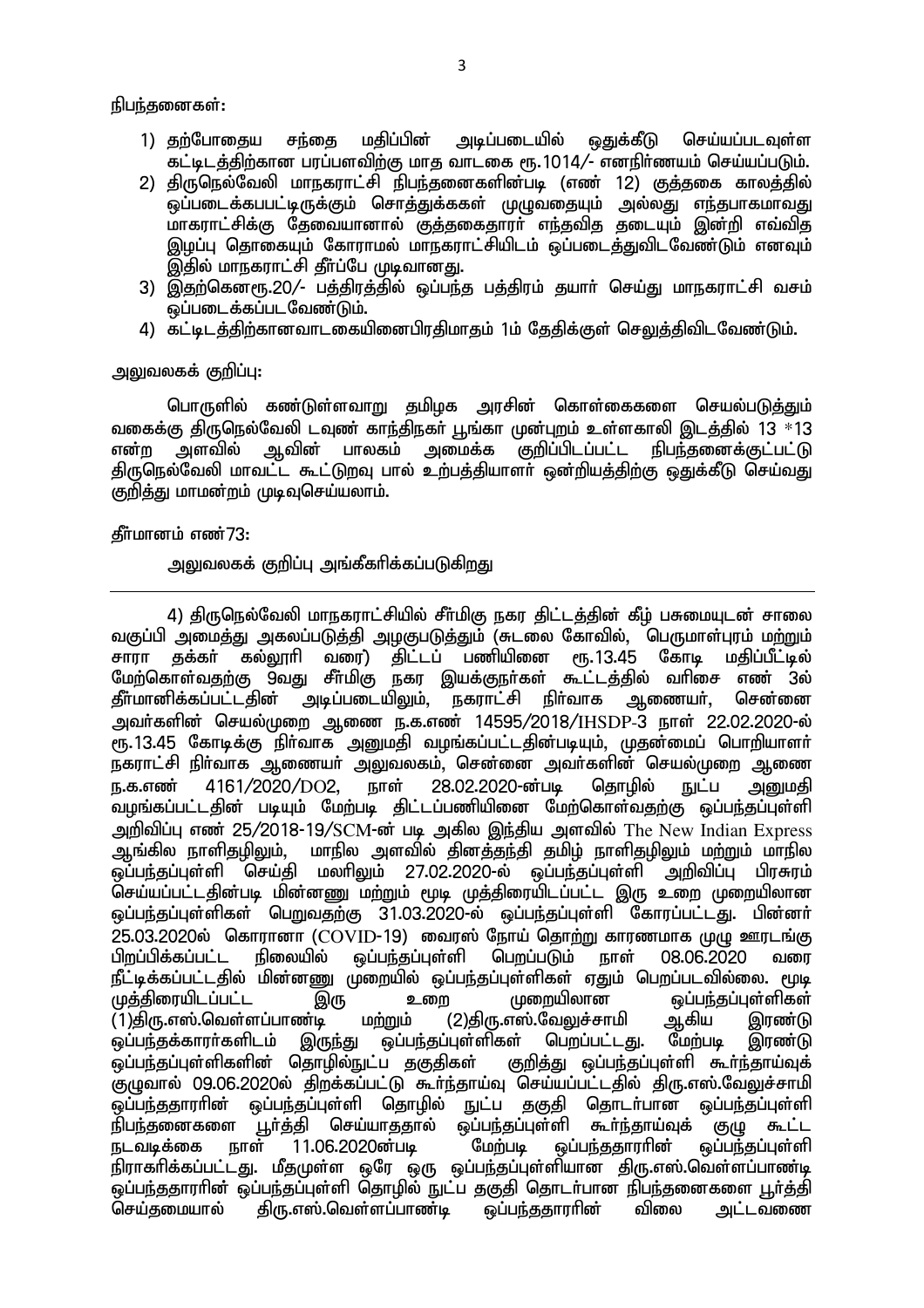நிபந்தனைகள்:

- 1) தற்போதைய சந்தை மதிப்பின் அடிப்படையில் ஒதுக்கீடு செய்யப்படவுள்ள கட்டிடத்திற்கான பரப்பளவிற்கு மாத வாடகை ரூ.1014/- எனநிர்ணயம் செய்யப்படும்.
- 2) திருநெல்வேலி மாநகராட்சி நிபந்தனைகளின்படி (எண் 12) குத்தகை காலத்தில் <u>ஒ</u>ப்படைக்கபபட்டிருக்கும் சொத்துக்ககள் முழுவதையும் அல்லது எந்தபாகமாவது மாகராட்சிக்கு தேவையானால் குத்தகைதாரா் எந்தவித தடையும் இன்றி எவ்வித இழப்பு தொகையும் கோராமல் மாநகராட்சியிடம் ஒப்படைத்துவிடவேண்டும் எனவும் இதில் மாநகராட்சி தீர்ப்பே முடிவானது.
- 3) இதற்கெனரூ.20/- பத்திரத்தில் ஒப்பந்த பத்திரம் தயாா் செய்து மாநகராட்சி வசம் <u>ஒ</u>ப்படைக்கப்படவேண்டும்.
- 4) கட்டிடத்திற்கானவாடகையினைபிரதிமாதம் 1ம் தேதிக்குள் செலுத்திவிடவேண்டும்.

### <u>அலுவலகக் குறிப்பு:</u>

பொருளில் கண்டுள்ளவாறு தமிழக அரசின் கொள்கைகளை செயல்படுத்தும் ்வகைக்கு திருநெல்வேலி டவுண் காந்திநகா் பூங்கா முன்புறம் உள்ளகாலி இடத்தில் 13 \*13 என்ற அளவில் ஆவின் பாலகம் அமைக்க குறிப்பிடப்பட்ட நிபந்தனைக்குட்பட்டு <u>கிரு</u>கெல்வேலி மாவட்ட கூட்டுறவு பால் உற்பத்தியாளா் ஒன்றியத்திற்கு ஒதுக்கீடு செய்வது குறித்து மாமன்றம் முடிவுசெய்யலாம்.

### கீர்மானம் எண் $73:$

அலுவலகக் குறிப்பு அங்கீகரிக்கப்படுக<u>ிறத</u>ு

4) திருநெல்வேலி மாநகராட்சியில் சீர்மிகு நகர திட்டத்தின் கீழ் பசுமையுடன் சாலை வகுப்பி அமைத்து அகலப்படுத்தி அழகுபடுத்தும் (சுடலை கோவில், பெருமாள்புரம் மற்றும்<br>சாரா குக்கா் கல்லூாி வரை) கிட்டப் பணியினை ரூ.13.45 கோடி மதிப்பீட்டில் சுக்கர் கல்லூரி வரை) திட்டப் பணியினை மேற்கொள்வதற்கு 9வது சீா்மிகு நகர இயக்குநா்கள் கூட்டத்தில் வாிசை எண் 3ல் தீா்மானிக்கப்பட்டதின் அடிப்படையிலும், நகராட்சி நிா்வாக ஆணையா், சென்னை அவர்களின் செயல்முறை ஆணை ந.க.எண் 14595/2018/IHSDP-3 நாள் 22.02.2020-ல் ரூ.13.45 கோடிக்கு நிா்வாக அனுமதி வழங்கப்பட்டதின்படியும், முதன்மைப் பொறியாளா் நகராட்சி நிா்வாக ஆணையா் அலுவலகம், சென்னை அவா்களின் செயல்முறை ஆணை<br>ஈ.க.எண் 4161/2020/DO2. ஈாள் 28.02.2020-ன்படி கொமில் ஈட்ப அமைகி ந.க.எண் 4161/2020/DO2, நாள் 28.02.2020-ன்படி தொழில் நுட்ப அனுமதி .<br>வமங்கப்பட்டதின் படியும் மேற்படி திட்டப்பணியினை மேற்கொள்வதற்கு ஒப்பந்தப்புள்ளி அறிவிப்பு எண் 25/2018-19/SCM-ன் படி அகில இந்திய அளவில் The New Indian Express ஆங்கில நாளிதழிலும், மாநில அளவில் தினத்தந்தி தமிழ் நாளிதழிலும் மற்றும் மாநில ஒப்பந்தப்புள்ளி செய்தி மலாிலும் 27.02.2020-ல் ஒப்பந்தப்புள்ளி அறிவிப்பு பிரசுரம் .<br>செய்யப்பட்டதின்படி மின்னணு மற்றும் மூடி முத்திரையிடப்பட்ட இரு உறை முறையிலான <u>ஓப்பந்தப்புள்ளிகள் பெறுவதற்கு 31.03.2020-ல் ஒப்பந்தப்புள்ளி கோரப்பட்டது. பின்னர்</u> .<br>25.03.2020ல் கொரானா (COVID-19) வைரஸ் நோய் தொற்று காரணமாக முழு ஊரடங்கு<br>பிறப்பிக்கப்பட்ட நிலையில் ஒப்பந்தப்புள்ளி பெறப்படும் நாள் 08.06.2020 வரை பிறப்பிக்கப்பட்ட நிலையில் ஒப்பந்தப்புள்ளி பெறப்படும் நாள் 08.06.2020 வரை நீட்டிக்கப்பட்டதில் மின்னணு முறையில் ஒப்பந்தப்புள்ளிகள் ஏதும் பெறப்படவில்லை. மூடி Kj;jpiuaplg;gl;l ,U ciw Kiwapyhd xg;ge;jg;Gs;spfs; (1)திரு.எஸ்.வெள்ளப்பாண்டி மற்றும் (2)திரு.எஸ்.வேலுச்சாமி ஆகிய இரண்டு<br>ஒப்பந்தக்காரர்களிடம் இருந்து ஒப்பந்தப்புள்ளிகள் பெறப்பட்டது. மேற்படி இரண்டு ஒப்பந்தக்காரா்களிடம் இருந்து ஒப்பந்தப்புள்ளிகள் பெறப்பட்டது. மேற்படி இரண்டு<br>ஓப்பந்தப்புள்ளிகளின் கொமில்நுட்ப ககுகிகள் குறிக்கு ஓப்பந்தப்புள்ளி கூா்ந்தாய்வுக் .<br>ஒப்பந்தப்பள்ளிகளின் தொழில்நுட்ப தகுதிகள் சுமுவால் 09.06.2020ல் திறக்கப்பட்டு கூர்ந்தாய்வு செய்யப்பட்டதில் திரு.எஸ்.வேலுச்சாமி <u>ஒ</u>ப்பந்ததாரரின் ஒப்பந்தப்புள்ளி தொழில் நுட்ப தகுதி தொடர்பான ஒப்பந்தப்பள்ளி நிபந்தனைகளை பூர்த்தி செய்யாததால் ஒப்பந்தப்புள்ளி கூர்ந்தாய்வுக் குழு கூட்ட<br>நடவடிக்கை நாள் 11.06.2020ன்படி மேற்படி ஒப்பந்ததாரரின் ஒப்பந்தப்புள்ளி நடவடிக்கை நாள் 11.06.2020ன்படி  $\sim$  மேற்படி நிராகரிக்கப்பட்டது. மீதமுள்ள ஒரே ஒரு ஒப்பந்தப்புள்ளியான திரு.எஸ்.வெள்ளப்பாண்டி ஒப்பந்ததாராின் ஒப்பந்தப்புள்ளி தொழில் நுட்ப தகுதி தொடா்பான நிபந்தனைகளை பூா்த்தி<br>செய்தமையால் திரு.எஸ்.வெள்ளப்பாண்டி ஒப்பந்ததாராின் விலை அட்டவணை செய்தமையால் திரு.எஸ்.வெள்ளப்பாண்டி ஒப்பந்ததாரரின் விலை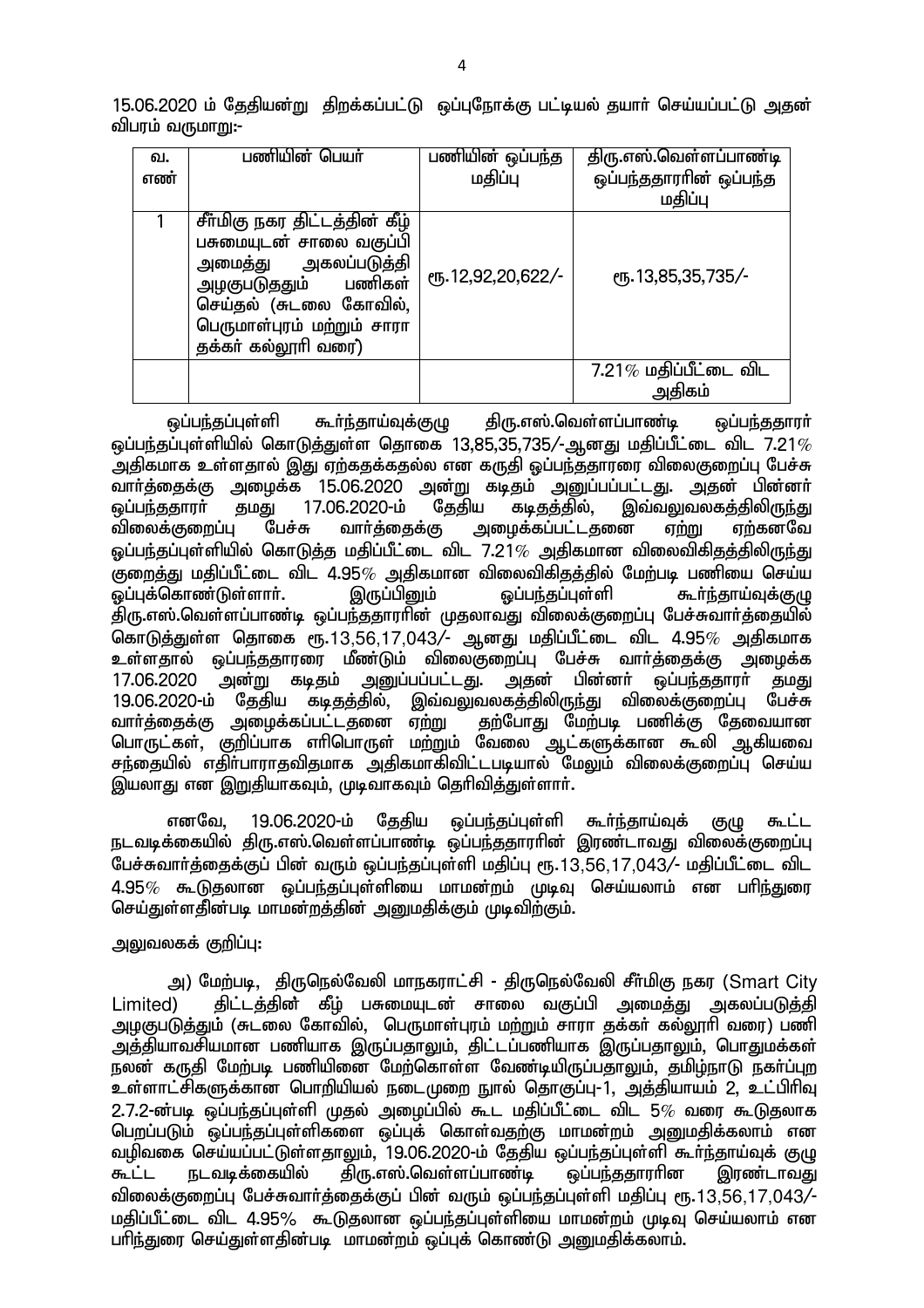15.06.2020 ம் தேதியன்று திறக்கப்பட்டு ஒப்புநோக்கு பட்டியல் தயார் செய்யப்பட்டு அதன் விபரம் வருமாறு:-

| வ.<br>எண் | பணியின் பெயா்                                                                                                                                                                              | பணியின் ஒப்பந்த<br>மதிப்பு | திரு.எஸ்.வெள்ளப்பாண்டி<br>ஒப்பந்ததாராின் ஒப்பந்த<br>மதிப்பு |
|-----------|--------------------------------------------------------------------------------------------------------------------------------------------------------------------------------------------|----------------------------|-------------------------------------------------------------|
|           | சீா்மிகு நகர திட்டத்தின் கீழ்<br>பசுமையுடன் சாலை வகுப்பி<br>அமைத்து அகலப்படுத்தி<br>பணிகள்<br>அழகுபடுத்தும்<br>செய்தல் (சுடலை கோவில்,<br>பெருமாள்புரம் மற்றும் சாரா<br>தக்கா் கல்லூாி வரை) | ரு. 12,92,20,622/-         | СПБ. 13,85,35,735/-                                         |
|           |                                                                                                                                                                                            |                            | $7.21\%$ மதிப்பீட்டை விட<br>அதிகம்                          |

லப்பந்தப்புள்ளி கூர்ந்தாய்வுக்குமு கிரு.எஸ்.வெள்ளப்பாண்டி லப்பந்ததாரர் வப்பந்தப்புள்ளியில் கொடுக்குள்ள கொகை 13.85.35.735/-ஆனது மகிப்பீட்டை விட 7.21 $\%$ அதிகமாக உள்ளதால் இது ஏற்கதக்கதல்ல என கருதி ஒப்பந்ததாரரை விலைகுறைப்பு பேச்சு வாா்த்தைக்கு அழைக்க 15.06.2020 அன்று கடிதம் அனுப்பப்பட்டது. அதன் பின்னா்<br>ஒப்பந்ததாரா் தமது 17.06.2020-ம் தேதிய கடிதத்தில், இவ்வலுவலகத்திலிருந்து ஒப்பந்ததாரா் தமது 17.06.2020-ம் தேதிய கடிதத்தில், இவ்வலுவலகத்திலிருந்து<br>விலைக்குறைப்பு பேச்சு வாா்த்தைக்கு அழைக்கப்பட்டதனை ஏற்று ஏற்கனவே பேச்சு வார்த்தைக்கு அழைக்கப்பட்டதனை ஏற்று ஏற்கனவே ஒப்பந்தப்புள்ளியில் கொடுத்த மதிப்பீட்டை விட 7.21 $\%$  அதிகமான விலைவிகிதத்திலிருந்து Fiwj;J kjpg;gPl;il tpl 4.95% mjpfkhd tpiytpfpjj;jpy; Nkw;gb gzpia nra;a  $\widetilde{\mathsf{scl}}$ ப்புக்கொண்டுள்ளார். திரு.எஸ்.வெள்ளப்பாண்டி ஒப்பந்ததாரரின் முதலாவது விலைக்குறைப்பு பேச்சுவார்த்தையில் கொடுத்துள்ள தொகை ரூ.13,56,17,043/- ஆனது மதிப்பீட்டை விட 4.95% அதிகமாக உள்ளதால் ஒப்பந்ததாரரை மீண்டும் விலைகுறைப்பு பேச்சு வார்த்தைக்கு அழைக்க<br>17.06.2020 அன்று கடிகம் அபைப்பப்பட்டகு. அகன் பின்னர் ஒப்பந்ககாார் கமகு 17.06.2020 அன்று கடிதம் அனுப்பப்பட்டது. அதன் பின்னா் ஒப்பந்ததாரா் தமது<br>19.06.2020-ம் கேகிய கடிகக்கில். இவ்வலவலகக்கிலிருந்து விலைக்குறைப்ப பேச்சு ,<br>கடிதத்தில், இவ்வலுவலகத்திலிருந்து விலைக்குறைப்பு பேச்சு<br>ப்பட்டதனை ஏ<u>ற்று தற்</u>போது மேற்படி பணிக்கு தேவையான வாா்த்தைக்கு அழைக்கப்பட்டதனை ஏ<u>ற்று</u> ுப்பு துறைக்கு அதைக்கைப்பட்டது.<br>பொருட்கள், குறிப்பாக எாிபொருள் மற்றும் வேலை ஆட்களுக்கான கூலி ஆகியவை சந்தையில் எதிா்பாராதவிதமாக அதிகமாகிவிட்டபடியால் மேலும் விலைக்குறைப்பு செய்ய இயலாது என <u>இறு</u>தியாகவும். முடிவாகவும் தெரிவிக்துள்ளார்.

எனவே, 19.06.2020-ம் தேதிய ஒப்பந்தப்புள்ளி கூர்ந்தாய்வுக் குழு கூட்ட நடவடிக்கையில் திரு.எஸ்.வெள்ளப்பாண்டி ஒப்பந்ததாரரின் இரண்டாவது விலைக்குறைப்பு பேச்சுவார்த்தைக்குப் பின் வரும் ஒப்பந்தப்புள்ளி மதிப்பு ரூ.13,56,17,043/- மதிப்பீட்டை விட  $4.95\%$  கூடுதலான ஒப்பந்தப்புள்ளியை மாமன்றம் முடிவு செய்யலாம் என பரிந்துரை செய்துள்ளதின்படி மாமன்றத்தின் அனுமதிக்கும் முடிவிற்கும்.

# அலுவலகக் குறிப்பு:

அ) மேற்படி, திருநெல்வேலி மாநகராட்சி - திருநெல்வேலி சீர்மிகு நகர (Smart City Limited) திட்டத்தின் கீழ் பசுமையுடன் சாலை வகுப்பி அமைத்து அகலப்படுத்தி <u>அழகுபடுத்து</u>ம் (சுடலை கோவில், பெருமாள்புரம் மற்றும் சாரா தக்கா் கல்லூரி வரை) பணி ுஞ்தியாவசியமான பணியாக இருப்பதாலும், திட்டப்பணியாக இருப்பதாலும், பொதுமக்கள் eyd; fUjp Nkw;gb gzpapid Nkw;nfhs;s Ntz;bapUg;gjhYk;> jkpo;ehL efh;g;Gw உள்ளாட்சிகளுக்கான பொறியியல் நடைமுறை நூல் தொகுப்பு-1, அத்தியாயம் 2, உட்பிரிவு  $2.7.2$ -ண்படி ஒப்பந்தப்புள்ளி முதல் அமைப்பில் கூட மதிப்பீட்டை விட 5 $\%$  வரை கூடுதலாக <u>பெறப்படும் ஒப்பந்தப்புள்ளிகளை ஒப்புக் கொள்வதற்கு மாமன்றம் அறைமதிக்கலாம் என</u> வழிவகை செய்யப்பட்டுள்ளதாலும், 19.06.2020-ம் தேதிய ஒப்பந்தப்புள்ளி கூா்ந்தாய்வுக் குழு<br>கூட்ட நடவடிக்கையில் கிரு.எஸ்.வெள்ளப்பாண்டி ஒப்பந்ததாராின இரண்டாவது கூட்ட நடவடிக்கையில் திரு.எஸ்.வெள்ளப்பாண்டி ஒப்பந்ததாரரின இரண்டாவது விலைக்குறைப்பு பேச்சுவார்த்தைக்குப் பின் வரும் ஒப்பந்தப்புள்ளி மதிப்பு ரூ.13,56,17,043/-மதிப்பீட்டை விட 4.95% கூடுதலான ஒப்பந்தப்புள்ளியை மாமன்றம் முடிவு செய்யலாம் என பரிந்துரை செய்துள்ளதின்படி மாமன்றம் ஓப்புக் கொண்டு அறைகிக்கலாம்.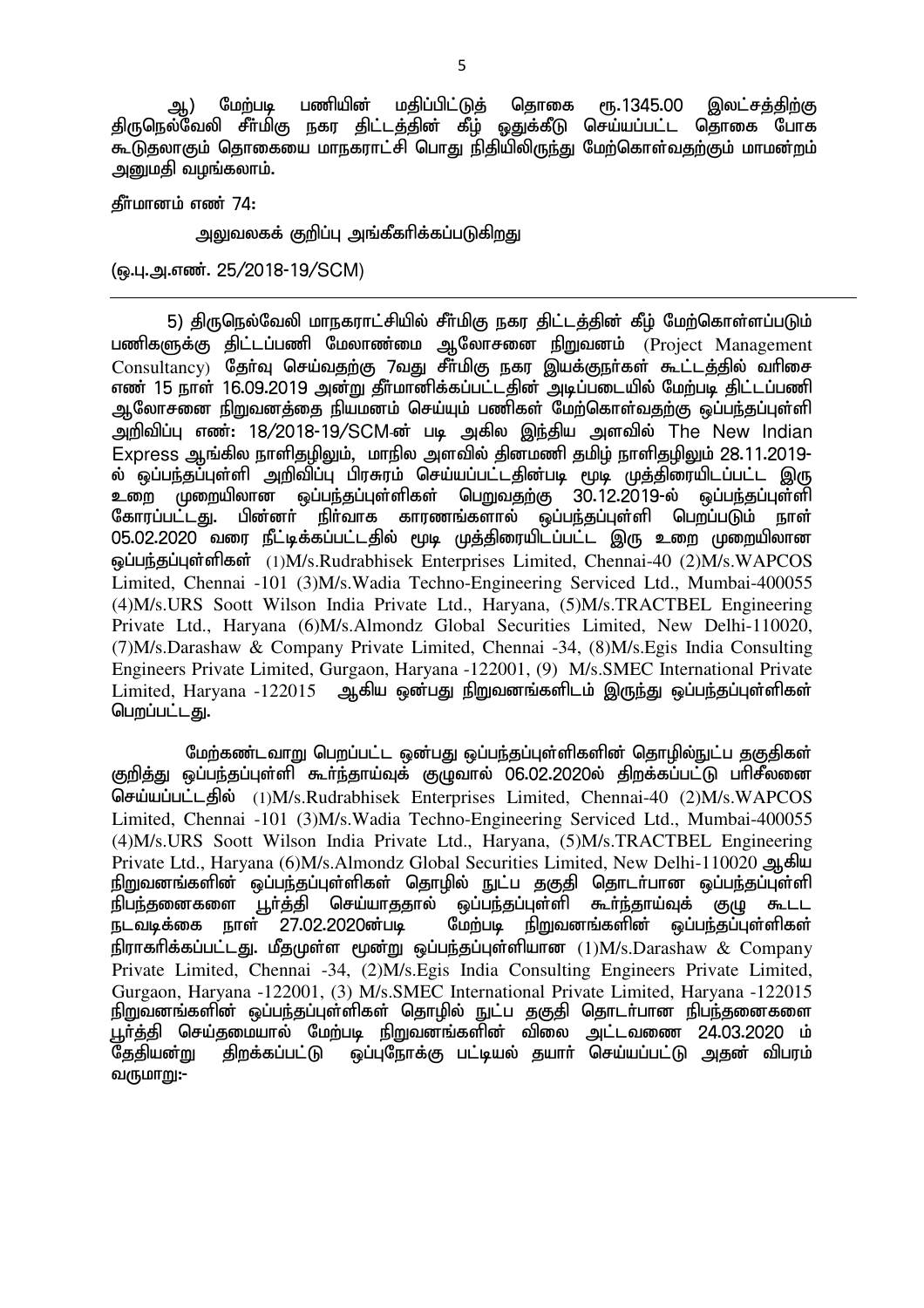ஆ) மேற்படி பணியின் மதிப்பிட்டுத் தொகை ரூ.1345.00 இலட்சத்திற்கு திருநெல்வேலி சீா்மிகு நகர திட்டத்தின் கீம் ஒதுக்கீடு செய்யப்பட்ட தொகை போக <u>கூடுத</u>லாகும் தொகையை மாநகராட்சி பொது நிதியிலிருந்து மேற்கொள்வதற்கும் மாமன்றம் அனுமதி வழங்கலாம்.

தீர்மானம் எண் 74:

அலுவலகக் குறிப்பு அங்கீகரிக்கப்படுகிறது

(டைபு.அ.எண். 25/2018-19/SCM)

5) திருநெல்வேலி மாநகராட்சியில் சீர்மிகு நகர திட்டத்தின் கீழ் மேற்கொள்ளப்படும் பணிகளுக்கு திட்டப்பணி மேலாண்மை ஆலோசனை நிறுவனம் (Project Management  $Consultancy$ ) தேர்வு செய்வதற்கு 7வது சீர்மிகு நகர இயக்குநர்கள் கூட்டத்தில் வரிசை எண் 15 நாள் 16.09.2019 அன்று தீர்மானிக்கப்பட்டதின் அடிப்படையில் மேற்படி திட்டப்பணி ஆலோசனை நிறுவனத்தை நியமனம் செய்யும் பணிகள் மேற்கொள்வ<u>தற்கு</u> ஒப்ப<u>ந்</u>தப்பள்ளி அறிவிப்பு எண்: 18/2018-19/SCM-ன் படி அகில இந்திய அளவில் The New Indian  $E$ xpress ஆங்கில நாளிதமிலும், மாநில அளவில் தினமணி தமிழ் நாளிதமிலும் 28.11.2019-ல் ஒப்பந்தப்புள்ளி அறிவி்ப்பு பிரசுரம் செய்யப்பட்டதின்படி மூடி முத்திரையிடப்பட்ட இரு<br>உறை முறையிலான ஒப்பந்தப்புள்ளிகள் பெறுவதற்கு 30.12.2019-ல் ஒப்பந்தப்புள்ளி உறை முறையிலான ஒப்பந்தப்புள்ளிகள் கோரப்பட்டது. பின்னா் நிா்வாக காரணங்களால் ஒப்பந்தப்புள்ளி பெறப்படும் நாள் 05.02.2020 வரை நீட்டிக்கப்பட்டதில் மூடி முத்திரையிடப்பட்ட இரு உறை முறையிலான xg;ge;jg;Gs;spfs;! )2\*M/s.Rudrabhisek Enterprises Limited, Chennai-40 (2)M/s.WAPCOS Limited, Chennai -101 (3)M/s.Wadia Techno-Engineering Serviced Ltd., Mumbai-400055 (4)M/s.URS Soott Wilson India Private Ltd., Haryana, (5)M/s.TRACTBEL Engineering Private Ltd., Haryana (6)M/s.Almondz Global Securities Limited, New Delhi-110020, (7)M/s.Darashaw & Company Private Limited, Chennai -34, (8)M/s.Egis India Consulting Engineers Private Limited, Gurgaon, Haryana -122001, (9) M/s.SMEC International Private  $L$ imited, Haryana -122015 ஆகிய ஒன்பது நிறுவனங்களிடம் இருந்து ஒப்பந்தப்புள்ளிகள் பெறப்பட்டது.

மேற்கண்டவாறு பெறப்பட்ட ஒன்பது ஒப்பந்தப்புள்ளிகளின் தொழில்நுட்ப தகுதிகள் குறித்து ஒப்பந்தப்புள்ளி கூர்ந்தாய்வுக் குழுவால் 06.02.2020ல் திறக்கப்பட்டு பரிசீலனை செய்யப்பட்டதில் (1)M/s.Rudrabhisek Enterprises Limited, Chennai-40 (2)M/s.WAPCOS Limited, Chennai -101 (3)M/s.Wadia Techno-Engineering Serviced Ltd., Mumbai-400055 (4)M/s.URS Soott Wilson India Private Ltd., Haryana, (5)M/s.TRACTBEL Engineering Private Ltd., Haryana (6)M/s.Almondz Global Securities Limited, New Delhi-110020 உயகிய நிறுவனங்களின் ஒப்பந்தப்புள்ளிகள் தொழில் நுட்ப தகுதி தொடர்பான ஒப்பந்தப்புள்ளி நிபந்தனைகளை பூர்த்தி செய்யாததால் ஒப்பந்தப்புள்ளி கூர்ந்தாய்வுக் குழு கூடட நடவடிக்கை நாள் 27.02.2020ன்படி மேற்படி நிறுவனங்களின் ஒப்பந்தப்புள்ளிகள் நிராகரிக்கப்பட்டது. மீதமுள்ள மூன்று ஒப்பந்தப்புள்ளியான  $(1)$ M/s.Darashaw  $\&$  Company Private Limited, Chennai -34, (2)M/s.Egis India Consulting Engineers Private Limited, Gurgaon, Haryana -122001, (3) M/s.SMEC International Private Limited, Haryana -122015 epWtdq;fspd; xg;ge;jg;Gs;spfs; njhopy; El;g jFjp njhlh;ghd epge;jidfis பூர்த்தி செய்தமையால் மேற்படி நிறுவனங்களின் விலை அட்டவணை 24.03.2020 ம்<br>கேகியன்று கிறக்கப்பட்டு லப்புநோக்கு பட்டியல் சுயார் செய்யப்பட்டு அகன் விபாம் ் ஒப்புநோக்கு பட்டியல் தயார் செய்யப்பட்டு <u>அ</u>தன் விபரம் வருமாறு:-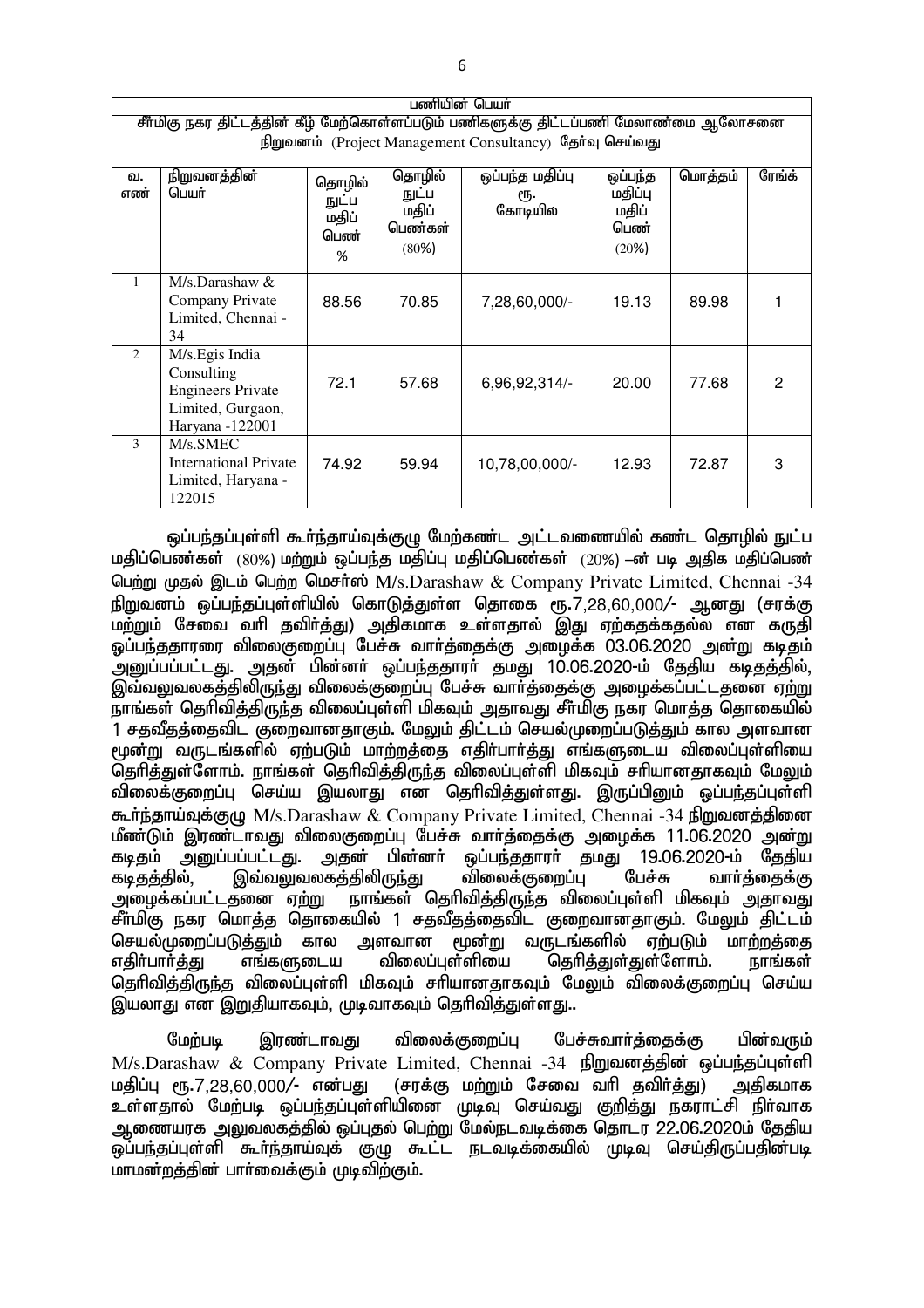| பணியின் பெயர்  |                                                                                                                                                  |                                       |                                              |                                   |                                              |         |        |
|----------------|--------------------------------------------------------------------------------------------------------------------------------------------------|---------------------------------------|----------------------------------------------|-----------------------------------|----------------------------------------------|---------|--------|
|                | சீர்மிகு நகர திட்டத்தின் கீழ் மேற்கொள்ளப்படும் பணிகளுக்கு திட்டப்பணி மேலாண்மை ஆலோசனை<br>நிறுவனம் (Project Management Consultancy) தேர்வு செய்வது |                                       |                                              |                                   |                                              |         |        |
| வ.<br>எண்      | <u>நிறுவனத்தின்</u><br>பெயர்                                                                                                                     | தொழில்<br>நுட்ப<br>மதிப்<br>பெண்<br>% | தொழில்<br>நுட்ப<br>மதிப்<br>பெண்கள்<br>(80%) | ஒப்பந்த மதிப்பு<br>ரூ.<br>கோடியில | ஒப்பந்த<br>மதிப்பு<br>மதிப்<br>பெண்<br>(20%) | மொத்தம் | ரேங்க் |
| $\mathbf{1}$   | $M/s$ . Darashaw &<br>Company Private<br>Limited, Chennai -<br>34                                                                                | 88.56                                 | 70.85                                        | 7,28,60,000/-                     | 19.13                                        | 89.98   |        |
| $\mathfrak{D}$ | M/s. Egis India<br>Consulting<br><b>Engineers Private</b><br>Limited, Gurgaon,<br>Haryana -122001                                                | 72.1                                  | 57.68                                        | 6,96,92,314/-                     | 20.00                                        | 77.68   | 2      |
| 3              | M/s.SMEC<br><b>International Private</b><br>Limited, Haryana -<br>122015                                                                         | 74.92                                 | 59.94                                        | 10,78,00,000/-                    | 12.93                                        | 72.87   | 3      |

<u>ஒப்பந்த</u>ப்புள்ளி கூர்ந்தாய்வுக்குழு மேற்கண்ட அட்டவணையில் கண்ட தொழில் நுட்ப  $\mu$ திப்பெண்கள் (80%) மற்றும் ஒப்பந்த மதிப்பு மதிப்பெண்கள் (20%) –ன் படி அதிக மதிப்பெண் பெற்று முதல் இடம் பெற்ற மெசர்ஸ் M/s.Darashaw & Company Private Limited, Chennai -34 நிறுவனம் ஒப்பந்தப்புள்ளியில் கொடுத்துள்ள தொகை ரூ.7,28,60,000/- ஆனது (சரக்கு மற்றும் சேவை வரி தவிர்த்து) அதிகமாக உள்ளதால் இது ஏற்கதக்கதல்ல என கருதி <u>ஒப்பந்ததாரரை விலைகுறைப்பு பேச்சு வார்த்தைக்கு அழைக்க 03.06.2020 அன்று கடிதம்</u> ு,<br>அறுப்பப்பட்டது. அதன் பின்னா் ஒப்பந்ததாரா் தமது 10.06.2020-ம் தேதிய கடிதத்தில், இவ்வலுவலகத்திலிருந்து விலைக்குறைப்பு பேச்சு வார்த்தைக்கு அழைக்கப்பட்டதனை ஏற்று  $\bar{\mathbf{r}}$ ராங்கள் தெரிவித்திருந்த விலைப்புள்ளி மிகவும் அதாவது சீர்மிகு நகர மொத்த தொகையில் 1 சதவீதத்தைவிட குறைவானதாகும். மேலும் திட்டம் செயல்முறைப்படுத்தும் கால அளவான மூன்று வருடங்களில் ஏற்படும் மாற்றத்தை எதிர்பார்த்து எங்களுடைய விலைப்புள்ளியை தெரித்துள்ளோம். நாங்கள் தெரிவித்திருந்த விலைப்புள்ளி மிகவும் சரியானதாகவும் மேலும் விலைக்குறைப்ப செய்ய இயலாது என தெரிவித்துள்ளது. இருப்பினும் ஒப்பந்தப்புள்ளி கூர்ந்தாய்வுக்குழு M/s.Darashaw & Company Private Limited, Chennai -34 நிறுவனத்தினை மீண்டும் இரண்டாவது விலைகுறைப்பு பேச்சு வார்த்தைக்கு அழைக்க 11.06.2020 அன்று கடிதம் அனுப்பப்பட்டது. அதன் பின்னா் ஒப்பந்ததாரா் தமது 19.06.2020-ம் தேதிய<br>கடிதத்தில், இவ்வலுவலகத்திலிருந்து விலைக்குறைப்பு பேச்சு வாா்த்தைக்கு கடிதத்தில், இவ்வலுவலகத்திலிருந்து விலைக்குறைப்பு பேச்சு வாா்த்தைக்கு<br>அழைக்கப்பட்டதனை ஏற்று நாங்கள் தொிவித்திருந்த விலைப்புள்ளி மிகவும் அதாவது நாங்கள் தெரிவித்திருந்த விலைப்புள்ளி மிகவும் அதாவது சீா்மிகு நகர மொத்த தொகையில் 1 சதவீதத்தைவிட குறைவானதாகும். மேலும் திட்டம்<br>செயல்முறைப்படுத்தும் கால அளவான மூன்று வருடங்களில் ஏா்படும் மாா்றக்கை செயல்முறைப்படுத்தும் கால அளவான மூன்று வருடங்களில் ஏற்படும் மாற்றத்தை<br>எகிா்பாா்க்கு எங்களுடைய விலைப்பள்ளியை கொிக்குள்குள்ளோம். நாங்கள் ு<br>தெரிக்குள்குள்ளோம். நாங்கள் தெரிவித்திருந்த விலைப்புள்ளி மிகவும் சரியானதாகவும் மேலும் விலைக்குறைப்பு செய்ய இயலாது என இறுதியாகவும், முடிவாகவும் தெரிவித்துள்ளது..

மேற்படி இரண்டாவது விலைக்குறைப்பு பேச்சுவார்த்தைக்கு பின்வரும் M/s.Darashaw & Company Private Limited, Chennai -34 நிறுவனத்தின் ஒப்பந்தப்புள்ளி<br>மதிப்பு ரூ.7,28,60,000/- என்பது (சரக்கு மற்றும் சேவை வரி தவிர்த்து) அதிகமாக மதிப்பு ரூ.7,28,60,000/- என்பது (சரக்கு மற்றும் சேவை வரி தவிர்த்து) அதிகமாக உள்ளதால் மேற்படி ஒப்பந்தப்புள்ளியினை முடிவு செய்வது குறித்து நகராட்சி நிா்வாக அணையரக அலுவலகத்தில் ஒப்புதல் பெற்று மேல்நடவடிக்கை தொடர 22.06.2020ம் தேதிய ் ஒப்பந்தப்புள்ளி கூர்ந்தாய்வுக் குமு கூட்ட நடவடிக்கையில் முடிவு செய்கிருப்பதின்படி மாமன்றத்தின் பார்வைக்கும் முடிவிற்கும்.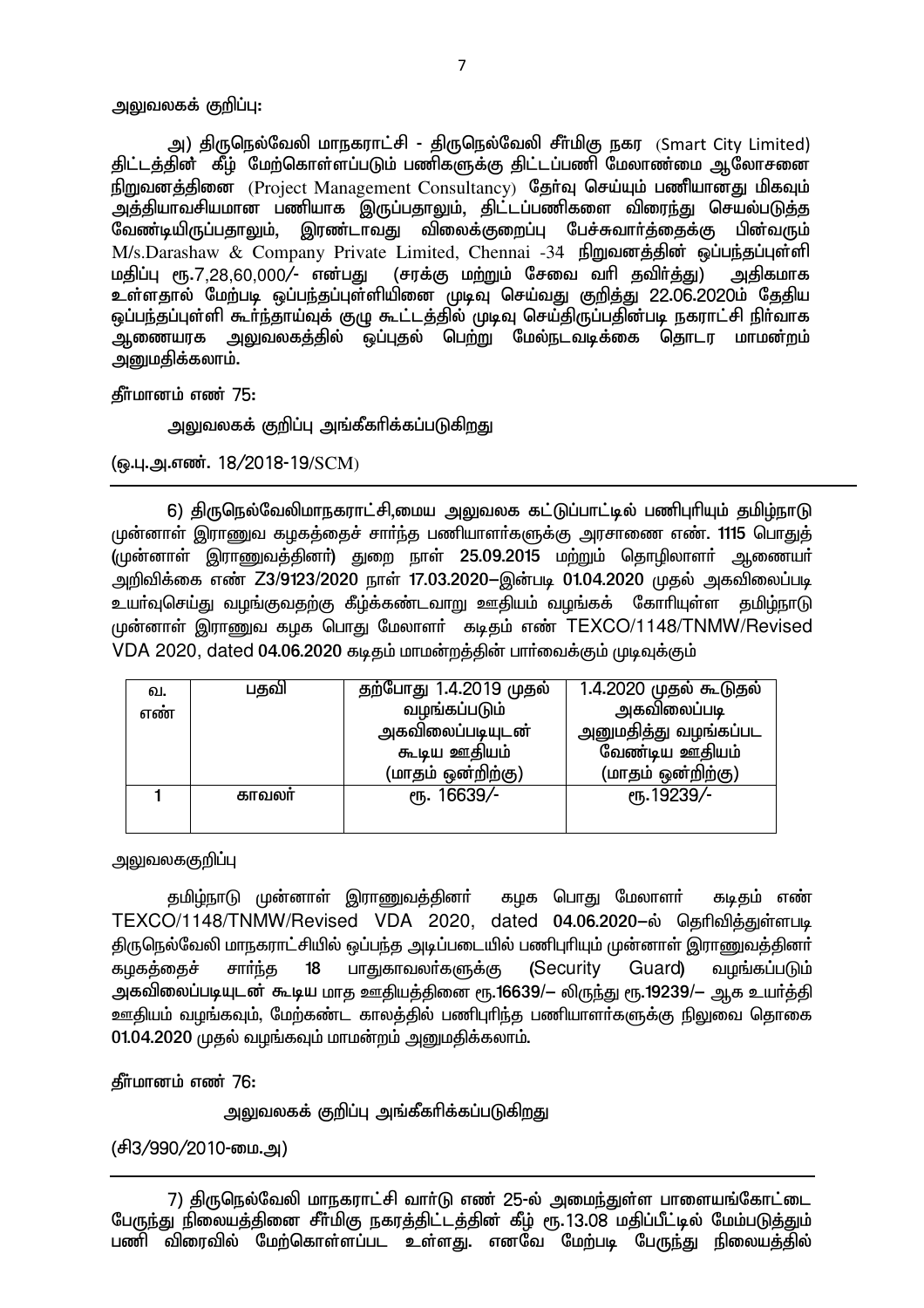### அலுவலகக் குறிப்பு:

அ) திருநெல்வேலி மாநகராட்சி - திருநெல்வேலி சீா்மிகு நகர (Smart Citv Limited) திட்டத்தின்` கீம் மேற்கொள்ளப்படும் பணிகளுக்கு திட்டப்பணி மேலாண்மை ஆலோசனை நிறுவனத்தினை (Project Management Consultancy) தேர்வு செய்யும் பணியானது மிகவும் .<br>அத்தியாவசியமான பணியாக இருப்பதாலும், திட்டப்பணிகளை விரைந்து செயல்படுத்த<br>வேண்டியிருப்பதாலும், இரண்டாவது விலைக்குறைப்பு பேச்சுவார்க்கைக்கு பின்வரும் வேண்டியிருப்பதாலும், இரண்டாவது விலைக்குறைப்பு பேச்சுவார்க்கைக்கு M/s.Darashaw & Company Private Limited, Chennai -34 நிறுவனத்தின் ஒப்பந்தப்புள்ளி<br>மதிப்பு ரூ.7.28.60.000/- என்பது (சரக்கு மற்றும் சேவை வரி கவிர்க்கு) அகிகமாக மதிப்பு ரூ.7,28,60,000/- என்பது (சரக்கு மற்றும் சேவை வரி தவிர்த்து) உள்ளதால் மேற்படி ஒப்பந்தப்புள்ளியினை முடிவு செய்வது குறித்து 22.06.2020ம் தேதிய <u>ஓப்பந்தப்புள்ளி கூர்ந்தாய்வுக் குமு கூட்டத்தில் முடிவு செய்திருப்பதின்படி நகராட்சி நிர்வாக</u> ் ஆணையரக <u>அலு</u>வலகத்தில் ஒப்புதல் பெ<u>ற்று</u> மேல்நடவடிக்கை தொடர மாமன்றம் அனுமதிக்கலாம்.

தீர்மானம் எண் 75:

அலுவலகக் குறிப்பு அங்கீகரிக்கப்படுக<u>ிறத</u>ு

(ஓ.பு.அ.எண். 18/2018-19/SCM)

6) திருநெல்வேலிமாநகராட்சி,மைய அலுவலக கட்டுப்பாட்டில் பணிபுரியும் தமிழ்நாடு முன்னாள் இராணுவ கழகத்தைச் சாா்ந்த பணியாளா்களுக்கு அரசாணை எண். 1115 பொதுத் ,<br>(முன்னாள் இராணுவத்தினா்) துறை நாள் 25.09.2015 மற்றும் தொழிலாளா் ஆணையா் அறிவிக்கை எண் Z3/9123/2020 நாள் 17.03.2020-இன்படி 01.04.2020 முதல் அகவிலைப்படி உயர்வுசெய்து வழங்குவதற்கு கீழ்க்கண்டவாறு ஊதியம் வழங்கக் கோரியுள்ள தமிழ்நாடு முன்னாள் இராணுவ கழக பொது மேலாளா் கடிதம் எண் TEXCO/1148/TNMW/Revised VDA 2020, dated 04.06.2020 கடிதம் மாமன்றத்தின் பார்வைக்கும் முடிவுக்கும்

| வ.  | பதவி  | தற்போது 1.4.2019 முதல் | 1.4.2020 முதல் கூடுதல் |
|-----|-------|------------------------|------------------------|
| எண் |       | வழங்கப்படும்           | அகவிலைப்படி            |
|     |       | அகவிலைப்படியுடன்       | அனுமதித்து வழங்கப்பட   |
|     |       | கூடிய ஊதியம்           | வேண்டிய ஊதியம்         |
|     |       | (மாதம் ஒன்றிற்கு)      | (மாதம் ஒன்றிற்கு)      |
|     | காவலா | СПБ. 16639/-           | СПБ. 19239/-           |
|     |       |                        |                        |

அலுவலககுறி**ப்**பு

தமிழ்நாடு முன்னாள் இராணுவத்தினா் கழக பொது மேலாளா் கடிதம் எண் TEXCO/1148/TNMW/Revised VDA 2020, dated 04.06.2020-ல் தெரிவித்துள்ளபடி திருநெல்வேலி மாநகராட்சியில் ஒப்பந்த அடிப்படையில் பணிபுரியும் முன்னாள் இராணுவக்கினர் கழகத்தைச் சார்ந்த 18 பாதுகாவலர்களுக்கு (Security Guard) வழங்கப்படும் அகவிலைப்படியுடன் கூடிய மாத ஊதியத்தினை ரூ.16639/— லிருந்து ரூ.19239/— ஆக உயர்த்தி <u>ஊகிய</u>ம் வமங்கவம். மேற்கண்ட காலக்கில் பணிபரிந்த பணியாளர்களுக்கு நிலுவை கொகை  $01.04.2020$  முதல் வழங்கவும் மாமன்றம் அனுமதிக்கலாம்.

கீர்மானம் எண் 76:

அலுவலகக் குறிப்பு அங்கீகரிக்கப்படுகிறது

(சி3/990/2010-மை.அ)

7) திருநெல்வேலி மாநகராட்சி வார்டு எண் 25-ல் அமைந்துள்ள பாளையங்கோட்டை பேருந்து நிலையத்தினை சீா்மிகு நகரத்திட்டத்தின் கீழ் ரூ.13.08 மதிப்பீட்டில் மேம்படுத்தும் பணி விரைவில் மேற்கொள்ளப்பட உள்ளது. எனவே மேற்படி பேருந்து நிலையத்தில்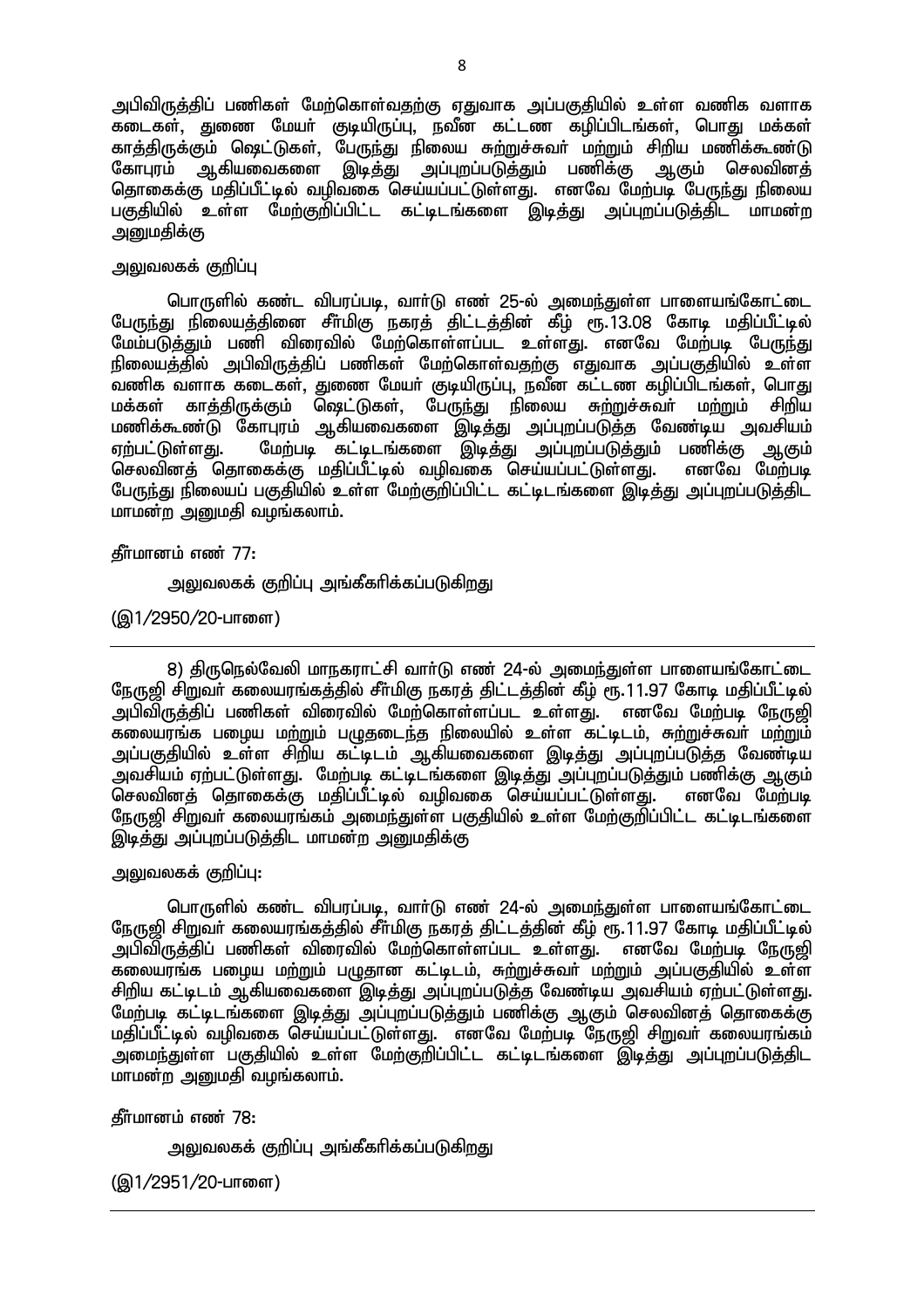அபிவிருத்திப் பணிகள் மேற்கொள்வதற்கு ஏதுவாக அப்பகுதியில் உள்ள வணிக வளாக கடைகள், துணை மேயர் குடியிருப்பு, நவீன கட்டண கழிப்பிடங்கள். பொது மக்கள் காத்திருக்கும் ஷெட்டுகள், பேருந்து நிலைய சுற்றுச்சுவர் மற்றும் சிறிய மணிக்கூண்டு கோபுரம் ஆகியவைகளை இடித்து அப்புறப்படுத்தும் பணிக்கு ஆகும் செலவினத் தொகைக்கு மதிப்பீட்டில் வழிவகை செய்யப்பட்டுள்ளது. எனவே மேற்படி பேருந்து நிலைய பகுதியில் உள்ள மேற்குறிப்பிட்ட கட்டிடங்களை இடித்து அப்புறப்படுத்திட மாமன்ற அறுமதிக்கு

## அலுவலகக் குறிப்பு

பொருளில் கண்ட விபரப்படி, வாா்டு எண் 25-ல் அமைந்துள்ள பாளையங்கோட்டை பேருந்து நிலையத்தினை சீா்மிகு நகரத் திட்டத்தின் கீழ் ரூ. 13.08 கோடி மதிப்பீட்டில் மேம்படுத்தும் பணி விரைவில் மேற்கொள்ளப்பட உள்ளது. எனவே மேற்படி பேருந்து நிலையத்தில் அபிவிருத்திப் பணிகள் மேற்கொள்வதற்கு எதுவாக அப்பகுதியில் உள்ள .<br>வணிக வளாக கடைகள், துணை மேயா் குடியிருப்பு, நவீன கட்டண கழிப்பிடங்கள், பொது <u>மக்கள் காத்திருக்கும் ஷெட்டுகள், பேருந்து நி</u>லைய சுற்றுச்சுவா் மா்றும் சிறிய க்கை... - - - <u>- து.கு. - கு - - - , காண்</u><br>மணிக்கூண்டு கோபுரம் ஆகியவைகளை இடித்து அப்புறப்படுத்த வேண்டிய அவசியம் ஏற்பட்டுள்ளது. மேற்படி `கட்டிடங்களை `இடித்து அப்புறப்படுத்தும் பணிக்கு ஆகும்<br>செலவினக் கொகைக்கு மகிப்பீட்டில் வமிவகை செய்யப்பட்டுள்ளகு. எனவே மேற்படி செலவினக் தொகைக்கு மகிப்பீட்டில் வமிவகை செய்யப்பட்டுள்ளது. பேருந்து நிலையப் பகுதியில் உள்ள மேற்குறிப்பிட்ட கட்டிடங்களை இடித்து அப்புறப்படுத்திட மாமன்ற அனுமதி வழங்கலாம்.

கீர்மானம் எண் $77:$ 

அலுவலகக் குறிப்பு அங்கீகரிக்கப்படுகிறது

(இ1/2950/20-பாளை)

8) திருநெல்வேலி மாநகராட்சி வார்டு எண் 24-ல் அமைந்துள்ள பாளையங்கோட்டை நேருஜி சிறுவர் கலையரங்கத்தில் சீர்மிகு நகரத் திட்டத்தின் கீழ் ரூ.11.97 கோடி மதிப்பீட்டில் அபிவிருத்திப் பணிகள் விரைவில் மேற்கொள்ளப்பட உள்ளது. எனவே மேற்படி நேருஜி ...<br>கலையரங்க பழைய மற்றும் பழுதடைந்த நிலையில் உள்ள கட்டிடம், சுற்றுச்சுவா் மற்றும் <u>அப்பகுதியில் உள்ள சிறிய கட்டிடம் ஆகியவைகளை இடித்து அப்புறப்படுத்த</u> வேண்டிய .<br>அவசியம் எற்பட்டுள்ளது. மேற்படி கட்டிடங்களை இடிக்கு அப்புறப்படுக்கும் பணிக்கு ஆகும். .<br>செலவினத் தொகைக்கு மதிப்பீட்டில் வழிவகை செய்யப்பட்டுள்ளது. எனவே மேற்படி <u>நேரு</u>ஜி சிறுவா் கலையரங்கம் அமைந்துள்ள பகுதியில் உள்ள மேற்குறிப்பிட்ட கட்டிடங்களை இடித்து அப்புறப்படுத்திட மாமன்ற அனுமதிக்கு

<u>அலு</u>வலகக் குறிப்பு:

பொருளில் கண்ட விபரப்படி, வாா்டு எண் 24-ல் அமைந்துள்ள பாளையங்கோட்டை நேருறி சிறுவர் கலையரங்கக்கில் சீர்மிகு நகரக் கிட்டக்கின் கீழ் ரூ.11.97 கோடி மகிப்பீட்டில் அபிவிருக்கிப் பணிகள் விரைவில் மேற்கொள்ளப்பட உள்ளது. எனவே மேற்படி நேருஜி கலையரங்க பழைய மற்றும் பழுதான கட்டிடம், சுற்றுச்சுவர் மற்றும் அப்பகுதியில் உள்ள சிறிய கட்டிடம் ஆகியவைகளை இடித்து அப்புறப்படுத்த வேண்டிய அவசியம் ஏற்பட்டுள்ளது. மேற்படி கட்டிடங்களை இடித்து அப்புறப்படுத்தும் பணிக்கு ஆகும் செலவினத் தொகைக்கு மகிப்பீட்டில் வமிவகை செய்யப்பட்டுள்ளது. எனவே மேற்படி நேருறி சிறுவா் கலையாங்கம் .<br>அமைந்துள்ள பகுதியில் உள்ள மேற்குறிப்பிட்ட கட்டிடங்களை இடித்து அப்புறப்படுத்திட  $m$ மாமன்ற அனுமதி வழங்கலாம்.

கீர்மானம் எண் $78:$ 

அலுவலகக் குறிப்பு அங்கீகரிக்கப்படுகிறது

(இ1/2951/20-பாளை)